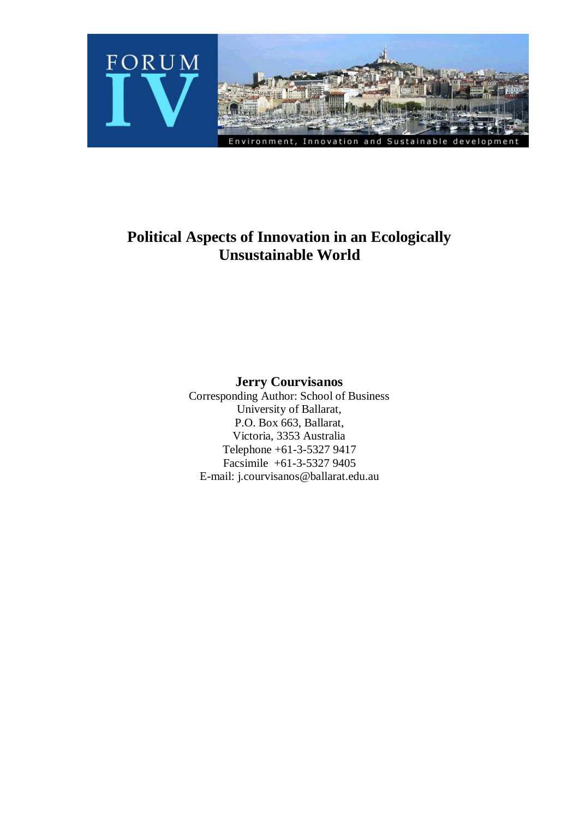

# **Political Aspects of Innovation in an Ecologically Unsustainable World**

**Jerry Courvisanos**

Corresponding Author: School of Business University of Ballarat, P.O. Box 663, Ballarat, Victoria, 3353 Australia Telephone +61-3-5327 9417 Facsimile +61-3-5327 9405 E-mail: j.courvisanos@ballarat.edu.au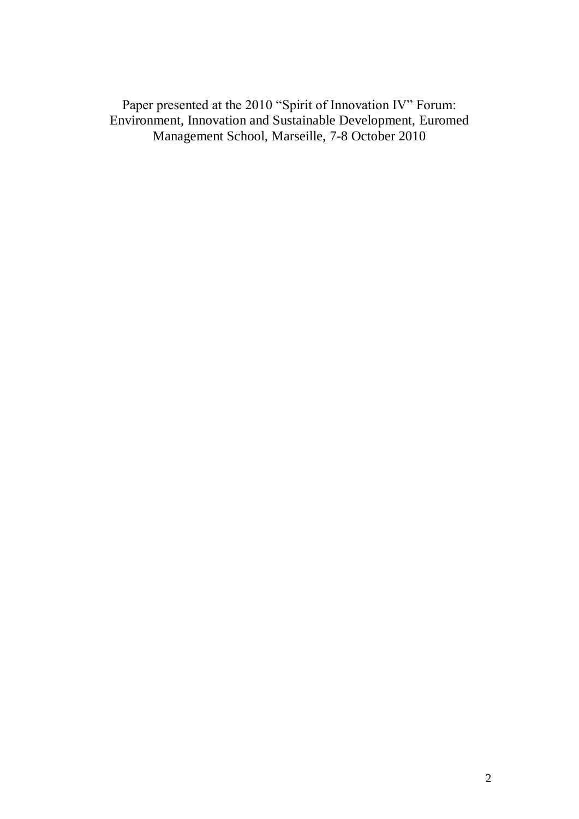Paper presented at the 2010 "Spirit of Innovation IV" Forum: Environment, Innovation and Sustainable Development, Euromed Management School, Marseille, 7-8 October 2010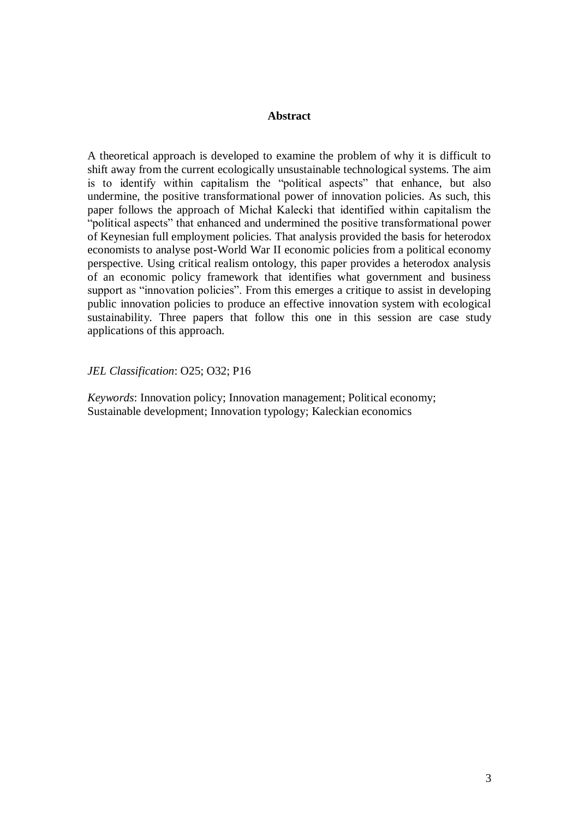# **Abstract**

A theoretical approach is developed to examine the problem of why it is difficult to shift away from the current ecologically unsustainable technological systems. The aim is to identify within capitalism the "political aspects" that enhance, but also undermine, the positive transformational power of innovation policies. As such, this paper follows the approach of Michał Kalecki that identified within capitalism the "political aspects" that enhanced and undermined the positive transformational power of Keynesian full employment policies. That analysis provided the basis for heterodox economists to analyse post-World War II economic policies from a political economy perspective. Using critical realism ontology, this paper provides a heterodox analysis of an economic policy framework that identifies what government and business support as "innovation policies". From this emerges a critique to assist in developing public innovation policies to produce an effective innovation system with ecological sustainability. Three papers that follow this one in this session are case study applications of this approach.

*JEL Classification*: O25; O32; P16

*Keywords*: Innovation policy; Innovation management; Political economy; Sustainable development; Innovation typology; Kaleckian economics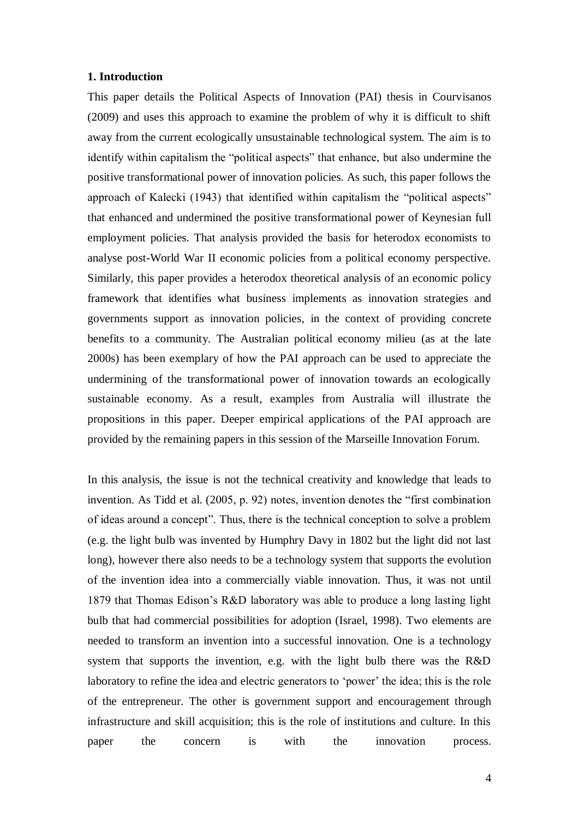## **1. Introduction**

This paper details the Political Aspects of Innovation (PAI) thesis in Courvisanos (2009) and uses this approach to examine the problem of why it is difficult to shift away from the current ecologically unsustainable technological system. The aim is to identify within capitalism the "political aspects" that enhance, but also undermine the positive transformational power of innovation policies. As such, this paper follows the approach of Kalecki (1943) that identified within capitalism the "political aspects" that enhanced and undermined the positive transformational power of Keynesian full employment policies. That analysis provided the basis for heterodox economists to analyse post-World War II economic policies from a political economy perspective. Similarly, this paper provides a heterodox theoretical analysis of an economic policy framework that identifies what business implements as innovation strategies and governments support as innovation policies, in the context of providing concrete benefits to a community. The Australian political economy milieu (as at the late 2000s) has been exemplary of how the PAI approach can be used to appreciate the undermining of the transformational power of innovation towards an ecologically sustainable economy. As a result, examples from Australia will illustrate the propositions in this paper. Deeper empirical applications of the PAI approach are provided by the remaining papers in this session of the Marseille Innovation Forum.

In this analysis, the issue is not the technical creativity and knowledge that leads to invention. As Tidd et al. (2005, p. 92) notes, invention denotes the "first combination of ideas around a concept". Thus, there is the technical conception to solve a problem (e.g. the light bulb was invented by Humphry Davy in 1802 but the light did not last long), however there also needs to be a technology system that supports the evolution of the invention idea into a commercially viable innovation. Thus, it was not until 1879 that Thomas Edison"s R&D laboratory was able to produce a long lasting light bulb that had commercial possibilities for adoption (Israel, 1998). Two elements are needed to transform an invention into a successful innovation. One is a technology system that supports the invention, e.g. with the light bulb there was the R&D laboratory to refine the idea and electric generators to 'power' the idea; this is the role of the entrepreneur. The other is government support and encouragement through infrastructure and skill acquisition; this is the role of institutions and culture. In this paper the concern is with the innovation process.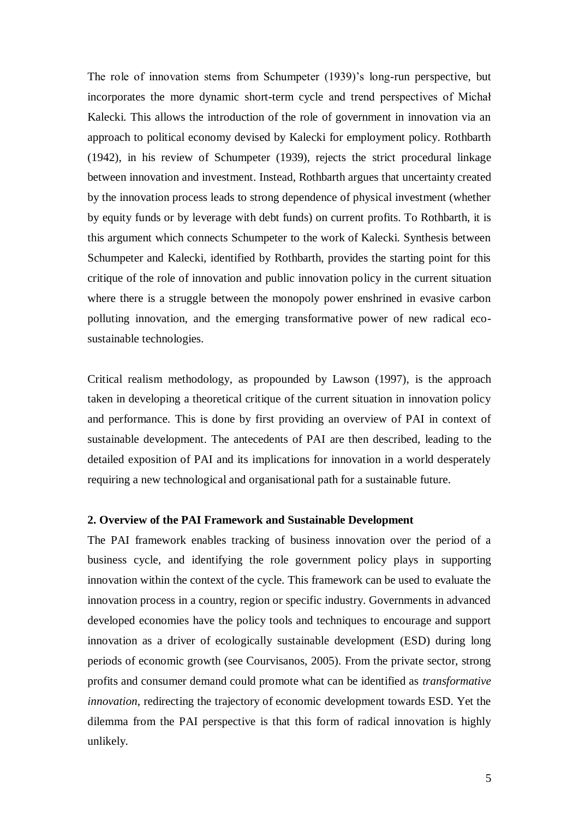The role of innovation stems from Schumpeter (1939)'s long-run perspective, but incorporates the more dynamic short-term cycle and trend perspectives of Michał Kalecki. This allows the introduction of the role of government in innovation via an approach to political economy devised by Kalecki for employment policy. Rothbarth (1942), in his review of Schumpeter (1939), rejects the strict procedural linkage between innovation and investment. Instead, Rothbarth argues that uncertainty created by the innovation process leads to strong dependence of physical investment (whether by equity funds or by leverage with debt funds) on current profits. To Rothbarth, it is this argument which connects Schumpeter to the work of Kalecki. Synthesis between Schumpeter and Kalecki, identified by Rothbarth, provides the starting point for this critique of the role of innovation and public innovation policy in the current situation where there is a struggle between the monopoly power enshrined in evasive carbon polluting innovation, and the emerging transformative power of new radical ecosustainable technologies.

Critical realism methodology, as propounded by Lawson (1997), is the approach taken in developing a theoretical critique of the current situation in innovation policy and performance. This is done by first providing an overview of PAI in context of sustainable development. The antecedents of PAI are then described, leading to the detailed exposition of PAI and its implications for innovation in a world desperately requiring a new technological and organisational path for a sustainable future.

# **2. Overview of the PAI Framework and Sustainable Development**

The PAI framework enables tracking of business innovation over the period of a business cycle, and identifying the role government policy plays in supporting innovation within the context of the cycle. This framework can be used to evaluate the innovation process in a country, region or specific industry. Governments in advanced developed economies have the policy tools and techniques to encourage and support innovation as a driver of ecologically sustainable development (ESD) during long periods of economic growth (see Courvisanos, 2005). From the private sector, strong profits and consumer demand could promote what can be identified as *transformative innovation*, redirecting the trajectory of economic development towards ESD. Yet the dilemma from the PAI perspective is that this form of radical innovation is highly unlikely.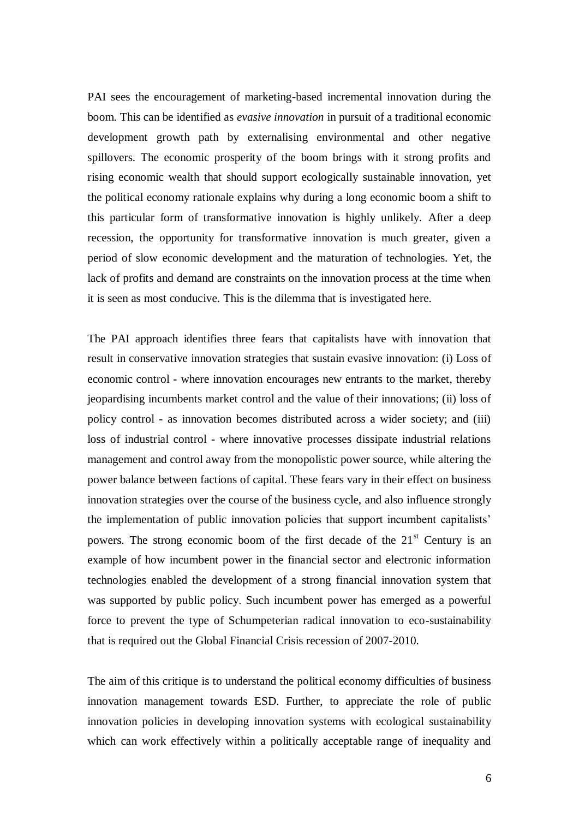PAI sees the encouragement of marketing-based incremental innovation during the boom. This can be identified as *evasive innovation* in pursuit of a traditional economic development growth path by externalising environmental and other negative spillovers. The economic prosperity of the boom brings with it strong profits and rising economic wealth that should support ecologically sustainable innovation, yet the political economy rationale explains why during a long economic boom a shift to this particular form of transformative innovation is highly unlikely. After a deep recession, the opportunity for transformative innovation is much greater, given a period of slow economic development and the maturation of technologies. Yet, the lack of profits and demand are constraints on the innovation process at the time when it is seen as most conducive. This is the dilemma that is investigated here.

The PAI approach identifies three fears that capitalists have with innovation that result in conservative innovation strategies that sustain evasive innovation: (i) Loss of economic control - where innovation encourages new entrants to the market, thereby jeopardising incumbents market control and the value of their innovations; (ii) loss of policy control - as innovation becomes distributed across a wider society; and (iii) loss of industrial control - where innovative processes dissipate industrial relations management and control away from the monopolistic power source, while altering the power balance between factions of capital. These fears vary in their effect on business innovation strategies over the course of the business cycle, and also influence strongly the implementation of public innovation policies that support incumbent capitalists" powers. The strong economic boom of the first decade of the  $21<sup>st</sup>$  Century is an example of how incumbent power in the financial sector and electronic information technologies enabled the development of a strong financial innovation system that was supported by public policy. Such incumbent power has emerged as a powerful force to prevent the type of Schumpeterian radical innovation to eco-sustainability that is required out the Global Financial Crisis recession of 2007-2010.

The aim of this critique is to understand the political economy difficulties of business innovation management towards ESD. Further, to appreciate the role of public innovation policies in developing innovation systems with ecological sustainability which can work effectively within a politically acceptable range of inequality and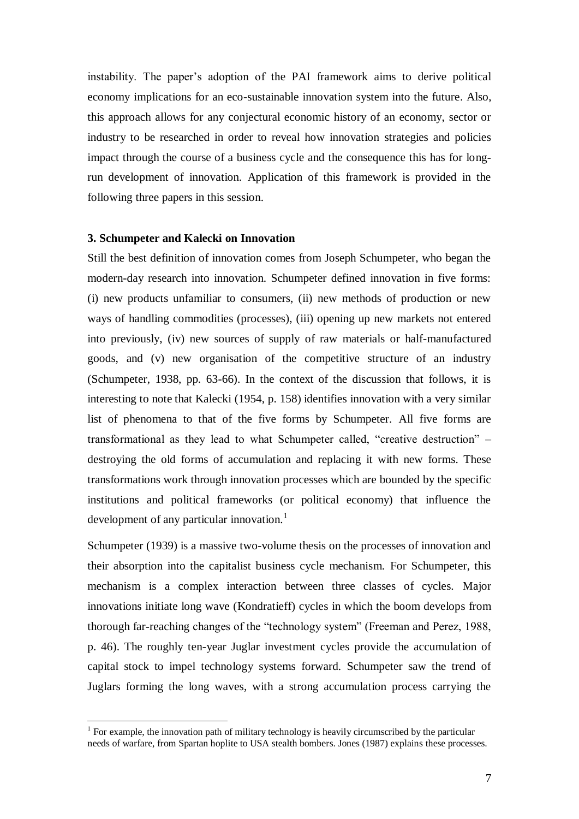instability. The paper"s adoption of the PAI framework aims to derive political economy implications for an eco-sustainable innovation system into the future. Also, this approach allows for any conjectural economic history of an economy, sector or industry to be researched in order to reveal how innovation strategies and policies impact through the course of a business cycle and the consequence this has for longrun development of innovation. Application of this framework is provided in the following three papers in this session.

## **3. Schumpeter and Kalecki on Innovation**

1

Still the best definition of innovation comes from Joseph Schumpeter, who began the modern-day research into innovation. Schumpeter defined innovation in five forms: (i) new products unfamiliar to consumers, (ii) new methods of production or new ways of handling commodities (processes), (iii) opening up new markets not entered into previously, (iv) new sources of supply of raw materials or half-manufactured goods, and (v) new organisation of the competitive structure of an industry (Schumpeter, 1938, pp. 63-66). In the context of the discussion that follows, it is interesting to note that Kalecki (1954, p. 158) identifies innovation with a very similar list of phenomena to that of the five forms by Schumpeter. All five forms are transformational as they lead to what Schumpeter called, "creative destruction" – destroying the old forms of accumulation and replacing it with new forms. These transformations work through innovation processes which are bounded by the specific institutions and political frameworks (or political economy) that influence the development of any particular innovation. $<sup>1</sup>$ </sup>

Schumpeter (1939) is a massive two-volume thesis on the processes of innovation and their absorption into the capitalist business cycle mechanism. For Schumpeter, this mechanism is a complex interaction between three classes of cycles. Major innovations initiate long wave (Kondratieff) cycles in which the boom develops from thorough far-reaching changes of the "technology system" (Freeman and Perez, 1988, p. 46). The roughly ten-year Juglar investment cycles provide the accumulation of capital stock to impel technology systems forward. Schumpeter saw the trend of Juglars forming the long waves, with a strong accumulation process carrying the

<sup>&</sup>lt;sup>1</sup> For example, the innovation path of military technology is heavily circumscribed by the particular needs of warfare, from Spartan hoplite to USA stealth bombers. Jones (1987) explains these processes.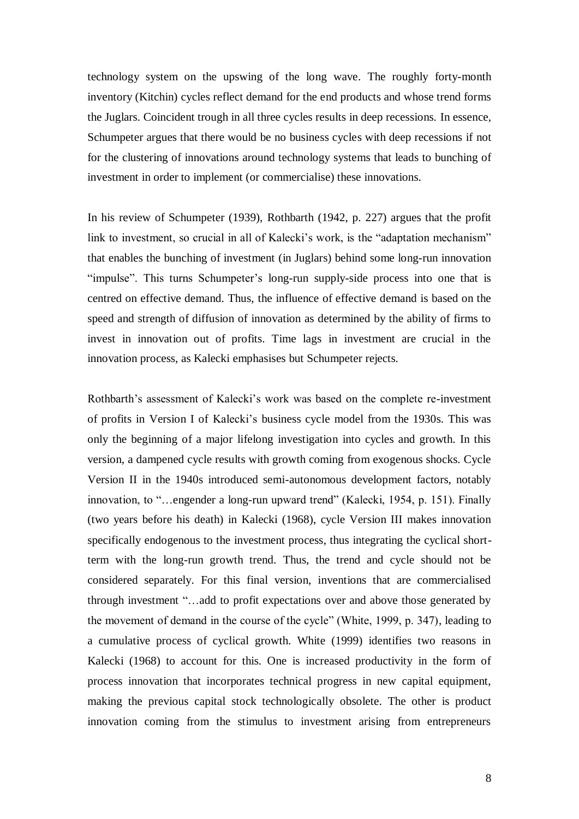technology system on the upswing of the long wave. The roughly forty-month inventory (Kitchin) cycles reflect demand for the end products and whose trend forms the Juglars. Coincident trough in all three cycles results in deep recessions. In essence, Schumpeter argues that there would be no business cycles with deep recessions if not for the clustering of innovations around technology systems that leads to bunching of investment in order to implement (or commercialise) these innovations.

In his review of Schumpeter (1939), Rothbarth (1942, p. 227) argues that the profit link to investment, so crucial in all of Kalecki's work, is the "adaptation mechanism" that enables the bunching of investment (in Juglars) behind some long-run innovation "impulse". This turns Schumpeter's long-run supply-side process into one that is centred on effective demand. Thus, the influence of effective demand is based on the speed and strength of diffusion of innovation as determined by the ability of firms to invest in innovation out of profits. Time lags in investment are crucial in the innovation process, as Kalecki emphasises but Schumpeter rejects.

Rothbarth's assessment of Kalecki's work was based on the complete re-investment of profits in Version I of Kalecki"s business cycle model from the 1930s. This was only the beginning of a major lifelong investigation into cycles and growth. In this version, a dampened cycle results with growth coming from exogenous shocks. Cycle Version II in the 1940s introduced semi-autonomous development factors, notably innovation, to "…engender a long-run upward trend" (Kalecki, 1954, p. 151). Finally (two years before his death) in Kalecki (1968), cycle Version III makes innovation specifically endogenous to the investment process, thus integrating the cyclical shortterm with the long-run growth trend. Thus, the trend and cycle should not be considered separately. For this final version, inventions that are commercialised through investment "…add to profit expectations over and above those generated by the movement of demand in the course of the cycle" (White, 1999, p. 347), leading to a cumulative process of cyclical growth. White (1999) identifies two reasons in Kalecki (1968) to account for this. One is increased productivity in the form of process innovation that incorporates technical progress in new capital equipment, making the previous capital stock technologically obsolete. The other is product innovation coming from the stimulus to investment arising from entrepreneurs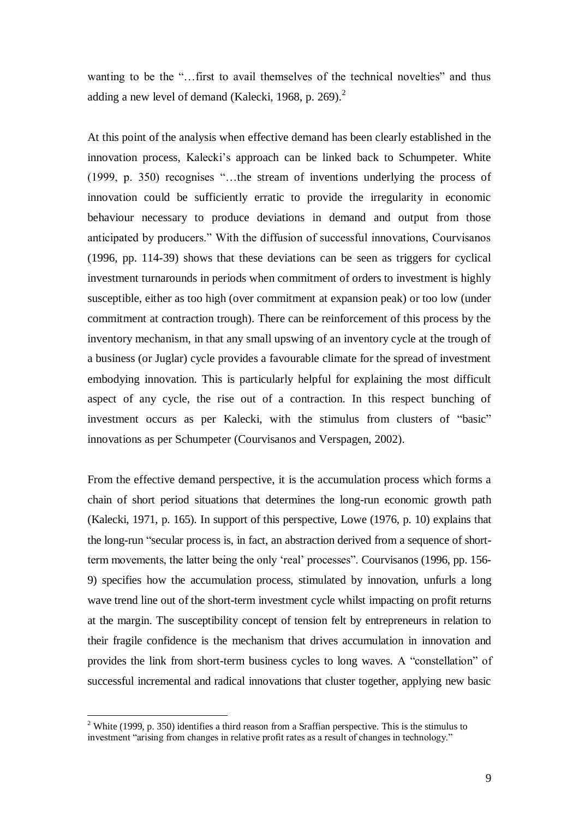wanting to be the "...first to avail themselves of the technical novelties" and thus adding a new level of demand (Kalecki, 1968, p. 269).<sup>2</sup>

At this point of the analysis when effective demand has been clearly established in the innovation process, Kalecki"s approach can be linked back to Schumpeter. White (1999, p. 350) recognises "…the stream of inventions underlying the process of innovation could be sufficiently erratic to provide the irregularity in economic behaviour necessary to produce deviations in demand and output from those anticipated by producers." With the diffusion of successful innovations, Courvisanos (1996, pp. 114-39) shows that these deviations can be seen as triggers for cyclical investment turnarounds in periods when commitment of orders to investment is highly susceptible, either as too high (over commitment at expansion peak) or too low (under commitment at contraction trough). There can be reinforcement of this process by the inventory mechanism, in that any small upswing of an inventory cycle at the trough of a business (or Juglar) cycle provides a favourable climate for the spread of investment embodying innovation. This is particularly helpful for explaining the most difficult aspect of any cycle, the rise out of a contraction. In this respect bunching of investment occurs as per Kalecki, with the stimulus from clusters of "basic" innovations as per Schumpeter (Courvisanos and Verspagen, 2002).

From the effective demand perspective, it is the accumulation process which forms a chain of short period situations that determines the long-run economic growth path (Kalecki, 1971, p. 165). In support of this perspective, Lowe (1976, p. 10) explains that the long-run "secular process is, in fact, an abstraction derived from a sequence of shortterm movements, the latter being the only "real" processes". Courvisanos (1996, pp. 156- 9) specifies how the accumulation process, stimulated by innovation, unfurls a long wave trend line out of the short-term investment cycle whilst impacting on profit returns at the margin. The susceptibility concept of tension felt by entrepreneurs in relation to their fragile confidence is the mechanism that drives accumulation in innovation and provides the link from short-term business cycles to long waves. A "constellation" of successful incremental and radical innovations that cluster together, applying new basic

1

<sup>&</sup>lt;sup>2</sup> White (1999, p. 350) identifies a third reason from a Sraffian perspective. This is the stimulus to investment "arising from changes in relative profit rates as a result of changes in technology."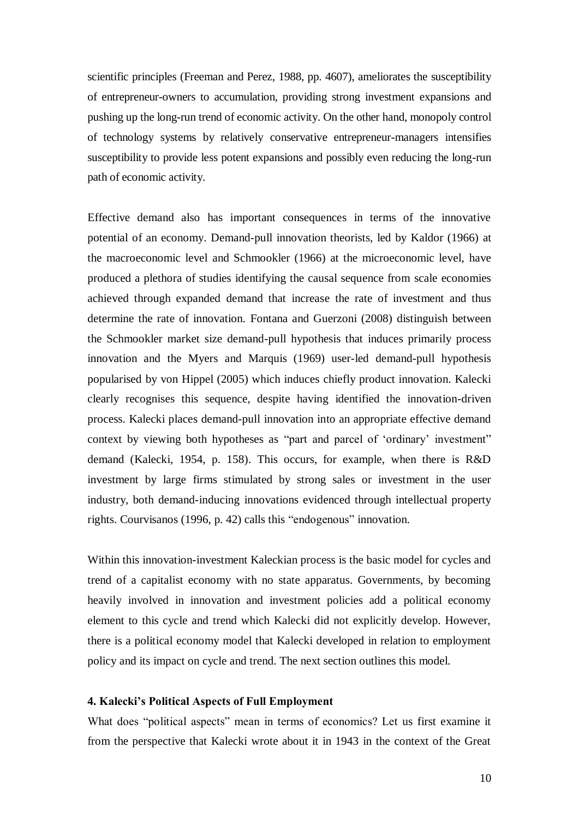scientific principles (Freeman and Perez, 1988, pp. 4607), ameliorates the susceptibility of entrepreneur-owners to accumulation, providing strong investment expansions and pushing up the long-run trend of economic activity. On the other hand, monopoly control of technology systems by relatively conservative entrepreneur-managers intensifies susceptibility to provide less potent expansions and possibly even reducing the long-run path of economic activity.

Effective demand also has important consequences in terms of the innovative potential of an economy. Demand-pull innovation theorists, led by Kaldor (1966) at the macroeconomic level and Schmookler (1966) at the microeconomic level, have produced a plethora of studies identifying the causal sequence from scale economies achieved through expanded demand that increase the rate of investment and thus determine the rate of innovation. Fontana and Guerzoni (2008) distinguish between the Schmookler market size demand-pull hypothesis that induces primarily process innovation and the Myers and Marquis (1969) user-led demand-pull hypothesis popularised by von Hippel (2005) which induces chiefly product innovation. Kalecki clearly recognises this sequence, despite having identified the innovation-driven process. Kalecki places demand-pull innovation into an appropriate effective demand context by viewing both hypotheses as "part and parcel of "ordinary" investment" demand (Kalecki, 1954, p. 158). This occurs, for example, when there is R&D investment by large firms stimulated by strong sales or investment in the user industry, both demand-inducing innovations evidenced through intellectual property rights. Courvisanos (1996, p. 42) calls this "endogenous" innovation.

Within this innovation-investment Kaleckian process is the basic model for cycles and trend of a capitalist economy with no state apparatus. Governments, by becoming heavily involved in innovation and investment policies add a political economy element to this cycle and trend which Kalecki did not explicitly develop. However, there is a political economy model that Kalecki developed in relation to employment policy and its impact on cycle and trend. The next section outlines this model.

## **4. Kalecki's Political Aspects of Full Employment**

What does "political aspects" mean in terms of economics? Let us first examine it from the perspective that Kalecki wrote about it in 1943 in the context of the Great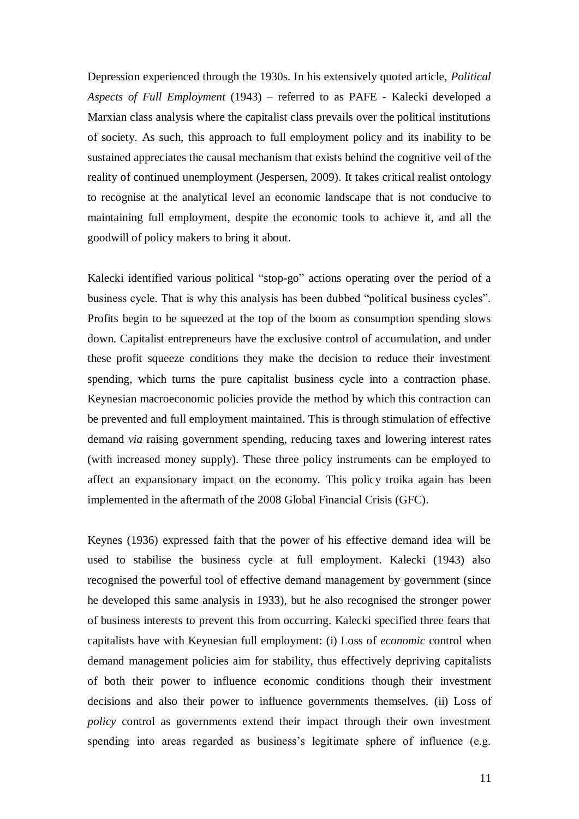Depression experienced through the 1930s. In his extensively quoted article, *Political Aspects of Full Employment* (1943) – referred to as PAFE - Kalecki developed a Marxian class analysis where the capitalist class prevails over the political institutions of society. As such, this approach to full employment policy and its inability to be sustained appreciates the causal mechanism that exists behind the cognitive veil of the reality of continued unemployment (Jespersen, 2009). It takes critical realist ontology to recognise at the analytical level an economic landscape that is not conducive to maintaining full employment, despite the economic tools to achieve it, and all the goodwill of policy makers to bring it about.

Kalecki identified various political "stop-go" actions operating over the period of a business cycle. That is why this analysis has been dubbed "political business cycles". Profits begin to be squeezed at the top of the boom as consumption spending slows down. Capitalist entrepreneurs have the exclusive control of accumulation, and under these profit squeeze conditions they make the decision to reduce their investment spending, which turns the pure capitalist business cycle into a contraction phase. Keynesian macroeconomic policies provide the method by which this contraction can be prevented and full employment maintained. This is through stimulation of effective demand *via* raising government spending, reducing taxes and lowering interest rates (with increased money supply). These three policy instruments can be employed to affect an expansionary impact on the economy. This policy troika again has been implemented in the aftermath of the 2008 Global Financial Crisis (GFC).

Keynes (1936) expressed faith that the power of his effective demand idea will be used to stabilise the business cycle at full employment. Kalecki (1943) also recognised the powerful tool of effective demand management by government (since he developed this same analysis in 1933), but he also recognised the stronger power of business interests to prevent this from occurring. Kalecki specified three fears that capitalists have with Keynesian full employment: (i) Loss of *economic* control when demand management policies aim for stability, thus effectively depriving capitalists of both their power to influence economic conditions though their investment decisions and also their power to influence governments themselves. (ii) Loss of *policy* control as governments extend their impact through their own investment spending into areas regarded as business's legitimate sphere of influence (e.g.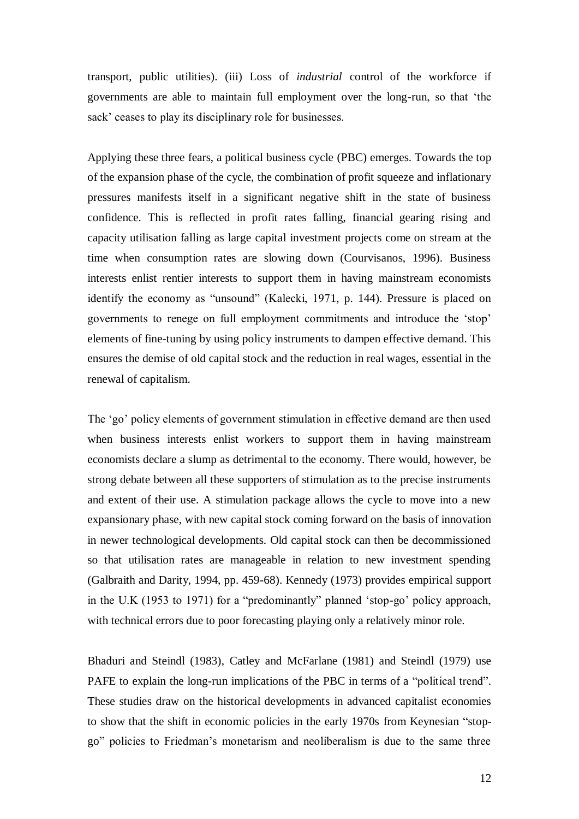transport, public utilities). (iii) Loss of *industrial* control of the workforce if governments are able to maintain full employment over the long-run, so that "the sack' ceases to play its disciplinary role for businesses.

Applying these three fears, a political business cycle (PBC) emerges. Towards the top of the expansion phase of the cycle, the combination of profit squeeze and inflationary pressures manifests itself in a significant negative shift in the state of business confidence. This is reflected in profit rates falling, financial gearing rising and capacity utilisation falling as large capital investment projects come on stream at the time when consumption rates are slowing down (Courvisanos, 1996). Business interests enlist rentier interests to support them in having mainstream economists identify the economy as "unsound" (Kalecki, 1971, p. 144). Pressure is placed on governments to renege on full employment commitments and introduce the "stop" elements of fine-tuning by using policy instruments to dampen effective demand. This ensures the demise of old capital stock and the reduction in real wages, essential in the renewal of capitalism.

The "go" policy elements of government stimulation in effective demand are then used when business interests enlist workers to support them in having mainstream economists declare a slump as detrimental to the economy. There would, however, be strong debate between all these supporters of stimulation as to the precise instruments and extent of their use. A stimulation package allows the cycle to move into a new expansionary phase, with new capital stock coming forward on the basis of innovation in newer technological developments. Old capital stock can then be decommissioned so that utilisation rates are manageable in relation to new investment spending (Galbraith and Darity, 1994, pp. 459-68). Kennedy (1973) provides empirical support in the U.K (1953 to 1971) for a "predominantly" planned "stop-go" policy approach, with technical errors due to poor forecasting playing only a relatively minor role.

Bhaduri and Steindl (1983), Catley and McFarlane (1981) and Steindl (1979) use PAFE to explain the long-run implications of the PBC in terms of a "political trend". These studies draw on the historical developments in advanced capitalist economies to show that the shift in economic policies in the early 1970s from Keynesian "stopgo" policies to Friedman"s monetarism and neoliberalism is due to the same three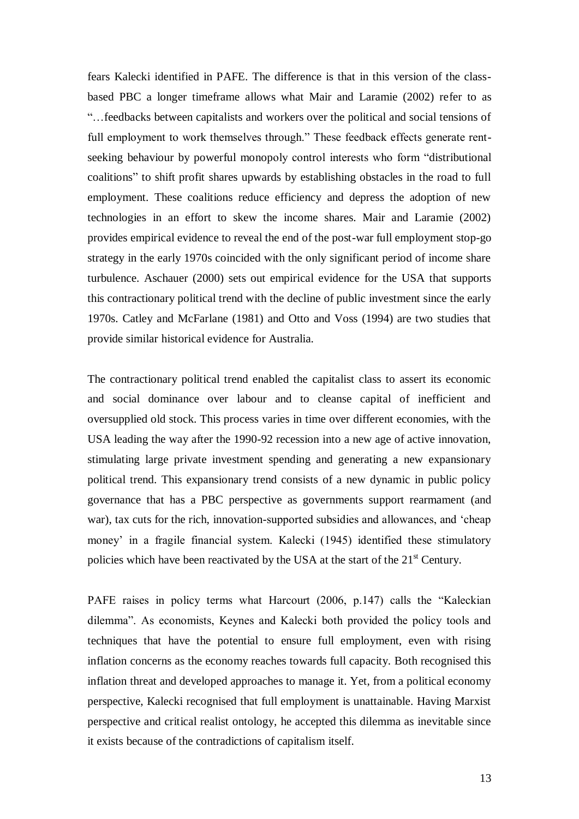fears Kalecki identified in PAFE. The difference is that in this version of the classbased PBC a longer timeframe allows what Mair and Laramie (2002) refer to as "…feedbacks between capitalists and workers over the political and social tensions of full employment to work themselves through." These feedback effects generate rentseeking behaviour by powerful monopoly control interests who form "distributional coalitions" to shift profit shares upwards by establishing obstacles in the road to full employment. These coalitions reduce efficiency and depress the adoption of new technologies in an effort to skew the income shares. Mair and Laramie (2002) provides empirical evidence to reveal the end of the post-war full employment stop-go strategy in the early 1970s coincided with the only significant period of income share turbulence. Aschauer (2000) sets out empirical evidence for the USA that supports this contractionary political trend with the decline of public investment since the early 1970s. Catley and McFarlane (1981) and Otto and Voss (1994) are two studies that provide similar historical evidence for Australia.

The contractionary political trend enabled the capitalist class to assert its economic and social dominance over labour and to cleanse capital of inefficient and oversupplied old stock. This process varies in time over different economies, with the USA leading the way after the 1990-92 recession into a new age of active innovation, stimulating large private investment spending and generating a new expansionary political trend. This expansionary trend consists of a new dynamic in public policy governance that has a PBC perspective as governments support rearmament (and war), tax cuts for the rich, innovation-supported subsidies and allowances, and 'cheap money" in a fragile financial system. Kalecki (1945) identified these stimulatory policies which have been reactivated by the USA at the start of the  $21<sup>st</sup>$  Century.

PAFE raises in policy terms what Harcourt (2006, p.147) calls the "Kaleckian dilemma". As economists, Keynes and Kalecki both provided the policy tools and techniques that have the potential to ensure full employment, even with rising inflation concerns as the economy reaches towards full capacity. Both recognised this inflation threat and developed approaches to manage it. Yet, from a political economy perspective, Kalecki recognised that full employment is unattainable. Having Marxist perspective and critical realist ontology, he accepted this dilemma as inevitable since it exists because of the contradictions of capitalism itself.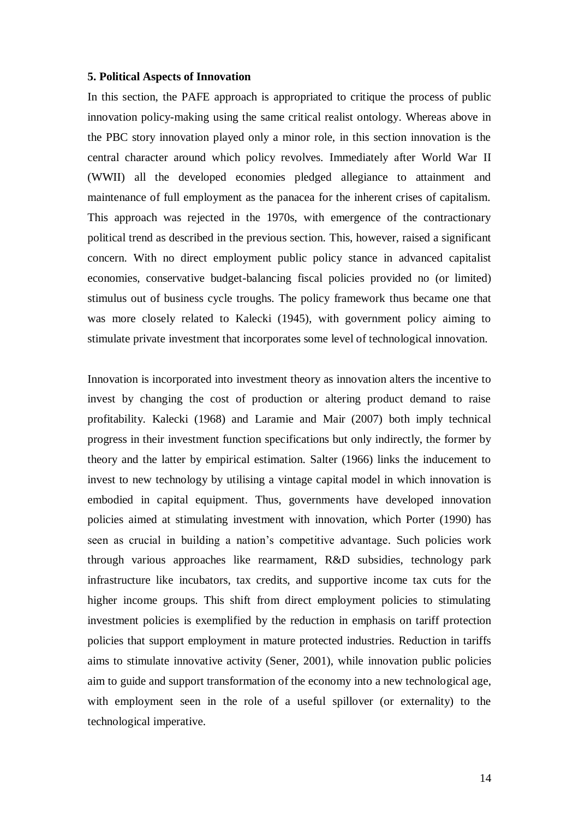#### **5. Political Aspects of Innovation**

In this section, the PAFE approach is appropriated to critique the process of public innovation policy-making using the same critical realist ontology. Whereas above in the PBC story innovation played only a minor role, in this section innovation is the central character around which policy revolves. Immediately after World War II (WWII) all the developed economies pledged allegiance to attainment and maintenance of full employment as the panacea for the inherent crises of capitalism. This approach was rejected in the 1970s, with emergence of the contractionary political trend as described in the previous section. This, however, raised a significant concern. With no direct employment public policy stance in advanced capitalist economies, conservative budget-balancing fiscal policies provided no (or limited) stimulus out of business cycle troughs. The policy framework thus became one that was more closely related to Kalecki (1945), with government policy aiming to stimulate private investment that incorporates some level of technological innovation.

Innovation is incorporated into investment theory as innovation alters the incentive to invest by changing the cost of production or altering product demand to raise profitability. Kalecki (1968) and Laramie and Mair (2007) both imply technical progress in their investment function specifications but only indirectly, the former by theory and the latter by empirical estimation. Salter (1966) links the inducement to invest to new technology by utilising a vintage capital model in which innovation is embodied in capital equipment. Thus, governments have developed innovation policies aimed at stimulating investment with innovation, which Porter (1990) has seen as crucial in building a nation"s competitive advantage. Such policies work through various approaches like rearmament, R&D subsidies, technology park infrastructure like incubators, tax credits, and supportive income tax cuts for the higher income groups. This shift from direct employment policies to stimulating investment policies is exemplified by the reduction in emphasis on tariff protection policies that support employment in mature protected industries. Reduction in tariffs aims to stimulate innovative activity (Sener, 2001), while innovation public policies aim to guide and support transformation of the economy into a new technological age, with employment seen in the role of a useful spillover (or externality) to the technological imperative.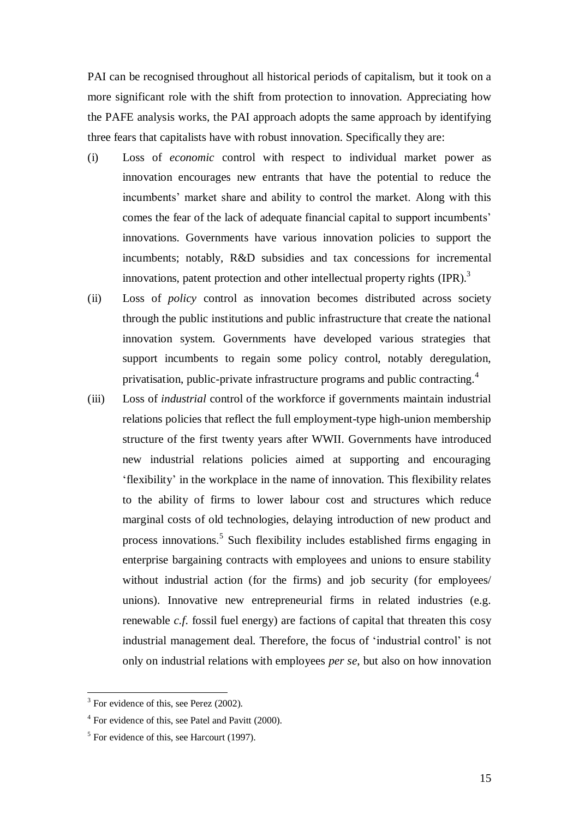PAI can be recognised throughout all historical periods of capitalism, but it took on a more significant role with the shift from protection to innovation. Appreciating how the PAFE analysis works, the PAI approach adopts the same approach by identifying three fears that capitalists have with robust innovation. Specifically they are:

- (i) Loss of *economic* control with respect to individual market power as innovation encourages new entrants that have the potential to reduce the incumbents' market share and ability to control the market. Along with this comes the fear of the lack of adequate financial capital to support incumbents" innovations. Governments have various innovation policies to support the incumbents; notably, R&D subsidies and tax concessions for incremental innovations, patent protection and other intellectual property rights (IPR).<sup>3</sup>
- (ii) Loss of *policy* control as innovation becomes distributed across society through the public institutions and public infrastructure that create the national innovation system. Governments have developed various strategies that support incumbents to regain some policy control, notably deregulation, privatisation, public-private infrastructure programs and public contracting.<sup>4</sup>
- (iii) Loss of *industrial* control of the workforce if governments maintain industrial relations policies that reflect the full employment-type high-union membership structure of the first twenty years after WWII. Governments have introduced new industrial relations policies aimed at supporting and encouraging "flexibility" in the workplace in the name of innovation. This flexibility relates to the ability of firms to lower labour cost and structures which reduce marginal costs of old technologies, delaying introduction of new product and process innovations. 5 Such flexibility includes established firms engaging in enterprise bargaining contracts with employees and unions to ensure stability without industrial action (for the firms) and job security (for employees/ unions). Innovative new entrepreneurial firms in related industries (e.g. renewable *c.f.* fossil fuel energy) are factions of capital that threaten this cosy industrial management deal. Therefore, the focus of "industrial control" is not only on industrial relations with employees *per se*, but also on how innovation

1

<sup>&</sup>lt;sup>3</sup> For evidence of this, see Perez (2002).

<sup>&</sup>lt;sup>4</sup> For evidence of this, see Patel and Pavitt (2000).

<sup>&</sup>lt;sup>5</sup> For evidence of this, see Harcourt (1997).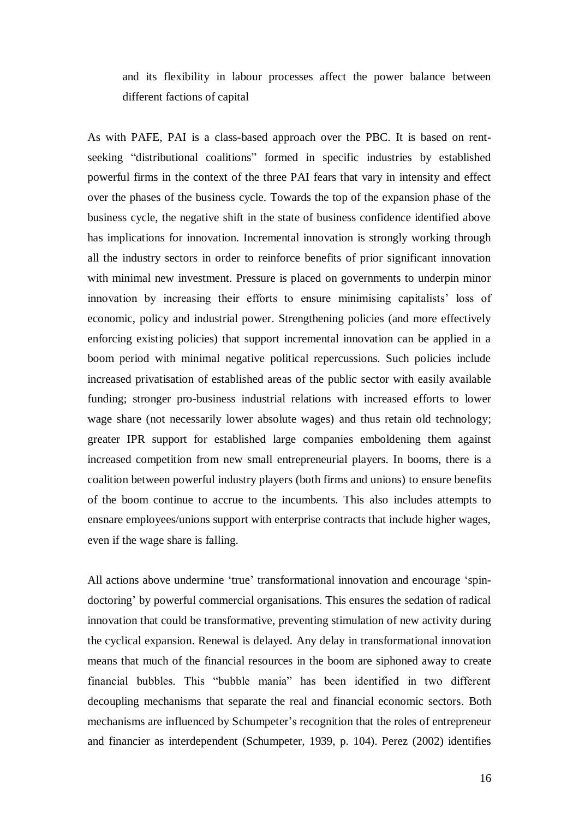and its flexibility in labour processes affect the power balance between different factions of capital

As with PAFE, PAI is a class-based approach over the PBC. It is based on rentseeking "distributional coalitions" formed in specific industries by established powerful firms in the context of the three PAI fears that vary in intensity and effect over the phases of the business cycle. Towards the top of the expansion phase of the business cycle, the negative shift in the state of business confidence identified above has implications for innovation. Incremental innovation is strongly working through all the industry sectors in order to reinforce benefits of prior significant innovation with minimal new investment. Pressure is placed on governments to underpin minor innovation by increasing their efforts to ensure minimising capitalists' loss of economic, policy and industrial power. Strengthening policies (and more effectively enforcing existing policies) that support incremental innovation can be applied in a boom period with minimal negative political repercussions. Such policies include increased privatisation of established areas of the public sector with easily available funding; stronger pro-business industrial relations with increased efforts to lower wage share (not necessarily lower absolute wages) and thus retain old technology; greater IPR support for established large companies emboldening them against increased competition from new small entrepreneurial players. In booms, there is a coalition between powerful industry players (both firms and unions) to ensure benefits of the boom continue to accrue to the incumbents. This also includes attempts to ensnare employees/unions support with enterprise contracts that include higher wages, even if the wage share is falling.

All actions above undermine "true" transformational innovation and encourage "spindoctoring' by powerful commercial organisations. This ensures the sedation of radical innovation that could be transformative, preventing stimulation of new activity during the cyclical expansion. Renewal is delayed. Any delay in transformational innovation means that much of the financial resources in the boom are siphoned away to create financial bubbles. This "bubble mania" has been identified in two different decoupling mechanisms that separate the real and financial economic sectors. Both mechanisms are influenced by Schumpeter"s recognition that the roles of entrepreneur and financier as interdependent (Schumpeter, 1939, p. 104). Perez (2002) identifies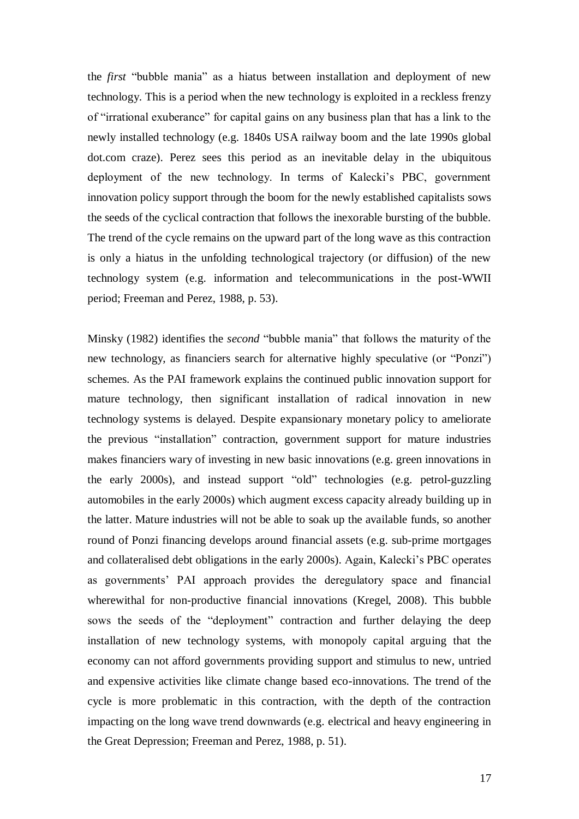the *first* "bubble mania" as a hiatus between installation and deployment of new technology. This is a period when the new technology is exploited in a reckless frenzy of "irrational exuberance" for capital gains on any business plan that has a link to the newly installed technology (e.g. 1840s USA railway boom and the late 1990s global dot.com craze). Perez sees this period as an inevitable delay in the ubiquitous deployment of the new technology. In terms of Kalecki"s PBC, government innovation policy support through the boom for the newly established capitalists sows the seeds of the cyclical contraction that follows the inexorable bursting of the bubble. The trend of the cycle remains on the upward part of the long wave as this contraction is only a hiatus in the unfolding technological trajectory (or diffusion) of the new technology system (e.g. information and telecommunications in the post-WWII period; Freeman and Perez, 1988, p. 53).

Minsky (1982) identifies the *second* "bubble mania" that follows the maturity of the new technology, as financiers search for alternative highly speculative (or "Ponzi") schemes. As the PAI framework explains the continued public innovation support for mature technology, then significant installation of radical innovation in new technology systems is delayed. Despite expansionary monetary policy to ameliorate the previous "installation" contraction, government support for mature industries makes financiers wary of investing in new basic innovations (e.g. green innovations in the early 2000s), and instead support "old" technologies (e.g. petrol-guzzling automobiles in the early 2000s) which augment excess capacity already building up in the latter. Mature industries will not be able to soak up the available funds, so another round of Ponzi financing develops around financial assets (e.g. sub-prime mortgages and collateralised debt obligations in the early 2000s). Again, Kalecki"s PBC operates as governments" PAI approach provides the deregulatory space and financial wherewithal for non-productive financial innovations (Kregel, 2008). This bubble sows the seeds of the "deployment" contraction and further delaying the deep installation of new technology systems, with monopoly capital arguing that the economy can not afford governments providing support and stimulus to new, untried and expensive activities like climate change based eco-innovations. The trend of the cycle is more problematic in this contraction, with the depth of the contraction impacting on the long wave trend downwards (e.g. electrical and heavy engineering in the Great Depression; Freeman and Perez, 1988, p. 51).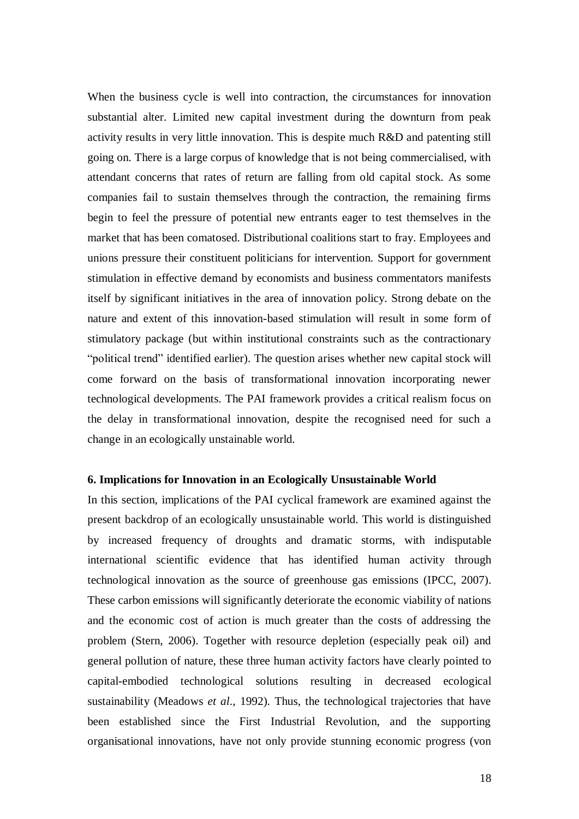When the business cycle is well into contraction, the circumstances for innovation substantial alter. Limited new capital investment during the downturn from peak activity results in very little innovation. This is despite much R&D and patenting still going on. There is a large corpus of knowledge that is not being commercialised, with attendant concerns that rates of return are falling from old capital stock. As some companies fail to sustain themselves through the contraction, the remaining firms begin to feel the pressure of potential new entrants eager to test themselves in the market that has been comatosed. Distributional coalitions start to fray. Employees and unions pressure their constituent politicians for intervention. Support for government stimulation in effective demand by economists and business commentators manifests itself by significant initiatives in the area of innovation policy. Strong debate on the nature and extent of this innovation-based stimulation will result in some form of stimulatory package (but within institutional constraints such as the contractionary "political trend" identified earlier). The question arises whether new capital stock will come forward on the basis of transformational innovation incorporating newer technological developments. The PAI framework provides a critical realism focus on the delay in transformational innovation, despite the recognised need for such a change in an ecologically unstainable world.

## **6. Implications for Innovation in an Ecologically Unsustainable World**

In this section, implications of the PAI cyclical framework are examined against the present backdrop of an ecologically unsustainable world. This world is distinguished by increased frequency of droughts and dramatic storms, with indisputable international scientific evidence that has identified human activity through technological innovation as the source of greenhouse gas emissions (IPCC, 2007). These carbon emissions will significantly deteriorate the economic viability of nations and the economic cost of action is much greater than the costs of addressing the problem (Stern, 2006). Together with resource depletion (especially peak oil) and general pollution of nature, these three human activity factors have clearly pointed to capital-embodied technological solutions resulting in decreased ecological sustainability (Meadows *et al*., 1992). Thus, the technological trajectories that have been established since the First Industrial Revolution, and the supporting organisational innovations, have not only provide stunning economic progress (von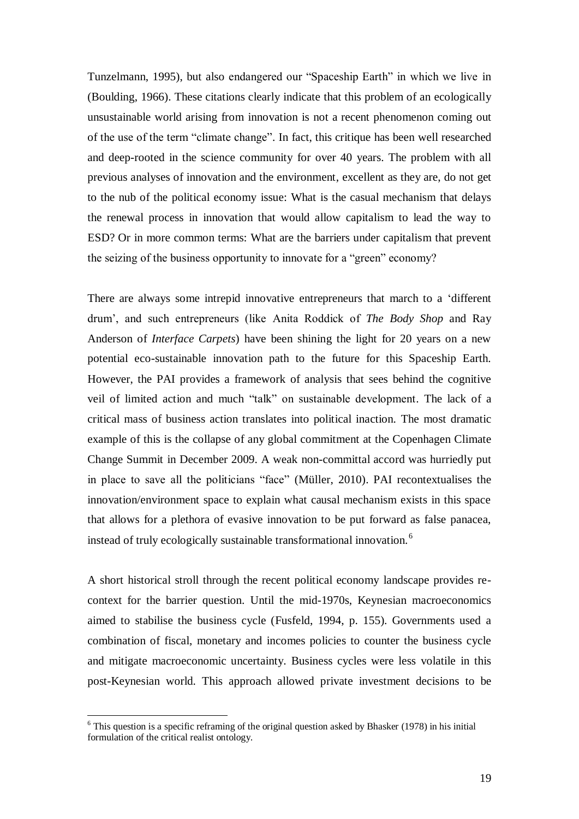Tunzelmann, 1995), but also endangered our "Spaceship Earth" in which we live in (Boulding, 1966). These citations clearly indicate that this problem of an ecologically unsustainable world arising from innovation is not a recent phenomenon coming out of the use of the term "climate change". In fact, this critique has been well researched and deep-rooted in the science community for over 40 years. The problem with all previous analyses of innovation and the environment, excellent as they are, do not get to the nub of the political economy issue: What is the casual mechanism that delays the renewal process in innovation that would allow capitalism to lead the way to ESD? Or in more common terms: What are the barriers under capitalism that prevent the seizing of the business opportunity to innovate for a "green" economy?

There are always some intrepid innovative entrepreneurs that march to a "different drum", and such entrepreneurs (like Anita Roddick of *The Body Shop* and Ray Anderson of *Interface Carpets*) have been shining the light for 20 years on a new potential eco-sustainable innovation path to the future for this Spaceship Earth. However, the PAI provides a framework of analysis that sees behind the cognitive veil of limited action and much "talk" on sustainable development. The lack of a critical mass of business action translates into political inaction. The most dramatic example of this is the collapse of any global commitment at the Copenhagen Climate Change Summit in December 2009. A weak non-committal accord was hurriedly put in place to save all the politicians "face" (Müller, 2010). PAI recontextualises the innovation/environment space to explain what causal mechanism exists in this space that allows for a plethora of evasive innovation to be put forward as false panacea, instead of truly ecologically sustainable transformational innovation.<sup>6</sup>

A short historical stroll through the recent political economy landscape provides recontext for the barrier question. Until the mid-1970s, Keynesian macroeconomics aimed to stabilise the business cycle (Fusfeld, 1994, p. 155). Governments used a combination of fiscal, monetary and incomes policies to counter the business cycle and mitigate macroeconomic uncertainty. Business cycles were less volatile in this post-Keynesian world. This approach allowed private investment decisions to be

1

 $6$  This question is a specific reframing of the original question asked by Bhasker (1978) in his initial formulation of the critical realist ontology.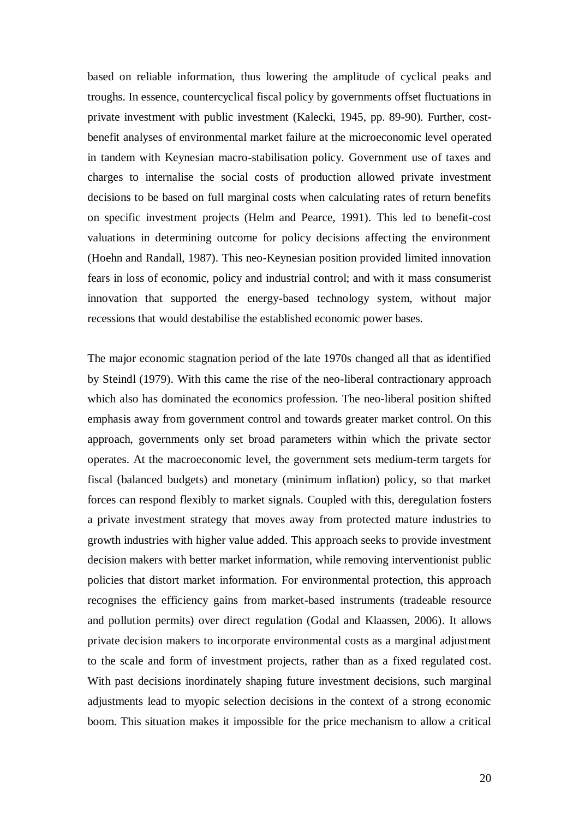based on reliable information, thus lowering the amplitude of cyclical peaks and troughs. In essence, countercyclical fiscal policy by governments offset fluctuations in private investment with public investment (Kalecki, 1945, pp. 89-90). Further, costbenefit analyses of environmental market failure at the microeconomic level operated in tandem with Keynesian macro-stabilisation policy. Government use of taxes and charges to internalise the social costs of production allowed private investment decisions to be based on full marginal costs when calculating rates of return benefits on specific investment projects (Helm and Pearce, 1991). This led to benefit-cost valuations in determining outcome for policy decisions affecting the environment (Hoehn and Randall, 1987). This neo-Keynesian position provided limited innovation fears in loss of economic, policy and industrial control; and with it mass consumerist innovation that supported the energy-based technology system, without major recessions that would destabilise the established economic power bases.

The major economic stagnation period of the late 1970s changed all that as identified by Steindl (1979). With this came the rise of the neo-liberal contractionary approach which also has dominated the economics profession. The neo-liberal position shifted emphasis away from government control and towards greater market control. On this approach, governments only set broad parameters within which the private sector operates. At the macroeconomic level, the government sets medium-term targets for fiscal (balanced budgets) and monetary (minimum inflation) policy, so that market forces can respond flexibly to market signals. Coupled with this, deregulation fosters a private investment strategy that moves away from protected mature industries to growth industries with higher value added. This approach seeks to provide investment decision makers with better market information, while removing interventionist public policies that distort market information. For environmental protection, this approach recognises the efficiency gains from market-based instruments (tradeable resource and pollution permits) over direct regulation (Godal and Klaassen, 2006). It allows private decision makers to incorporate environmental costs as a marginal adjustment to the scale and form of investment projects, rather than as a fixed regulated cost. With past decisions inordinately shaping future investment decisions, such marginal adjustments lead to myopic selection decisions in the context of a strong economic boom. This situation makes it impossible for the price mechanism to allow a critical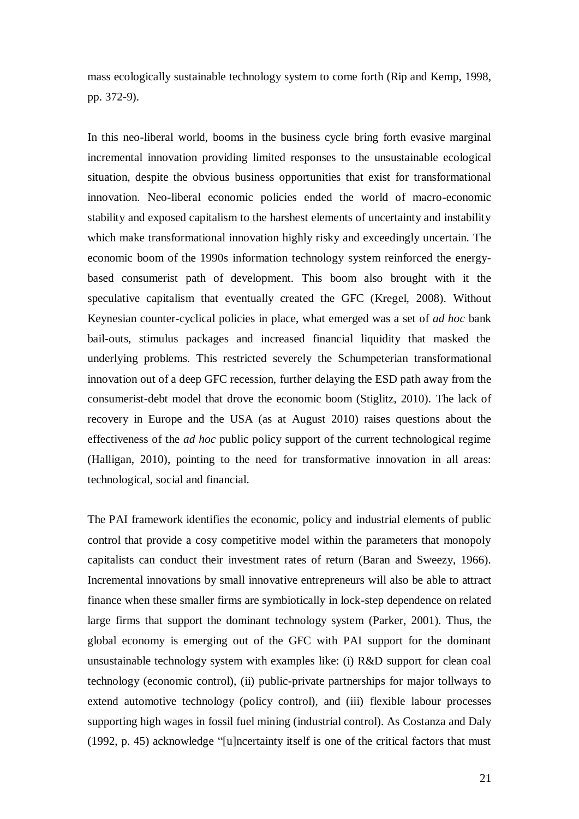mass ecologically sustainable technology system to come forth (Rip and Kemp, 1998, pp. 372-9).

In this neo-liberal world, booms in the business cycle bring forth evasive marginal incremental innovation providing limited responses to the unsustainable ecological situation, despite the obvious business opportunities that exist for transformational innovation. Neo-liberal economic policies ended the world of macro-economic stability and exposed capitalism to the harshest elements of uncertainty and instability which make transformational innovation highly risky and exceedingly uncertain. The economic boom of the 1990s information technology system reinforced the energybased consumerist path of development. This boom also brought with it the speculative capitalism that eventually created the GFC (Kregel, 2008). Without Keynesian counter-cyclical policies in place, what emerged was a set of *ad hoc* bank bail-outs, stimulus packages and increased financial liquidity that masked the underlying problems. This restricted severely the Schumpeterian transformational innovation out of a deep GFC recession, further delaying the ESD path away from the consumerist-debt model that drove the economic boom (Stiglitz, 2010). The lack of recovery in Europe and the USA (as at August 2010) raises questions about the effectiveness of the *ad hoc* public policy support of the current technological regime (Halligan, 2010), pointing to the need for transformative innovation in all areas: technological, social and financial.

The PAI framework identifies the economic, policy and industrial elements of public control that provide a cosy competitive model within the parameters that monopoly capitalists can conduct their investment rates of return (Baran and Sweezy, 1966). Incremental innovations by small innovative entrepreneurs will also be able to attract finance when these smaller firms are symbiotically in lock-step dependence on related large firms that support the dominant technology system (Parker, 2001). Thus, the global economy is emerging out of the GFC with PAI support for the dominant unsustainable technology system with examples like: (i) R&D support for clean coal technology (economic control), (ii) public-private partnerships for major tollways to extend automotive technology (policy control), and (iii) flexible labour processes supporting high wages in fossil fuel mining (industrial control). As Costanza and Daly (1992, p. 45) acknowledge "[u]ncertainty itself is one of the critical factors that must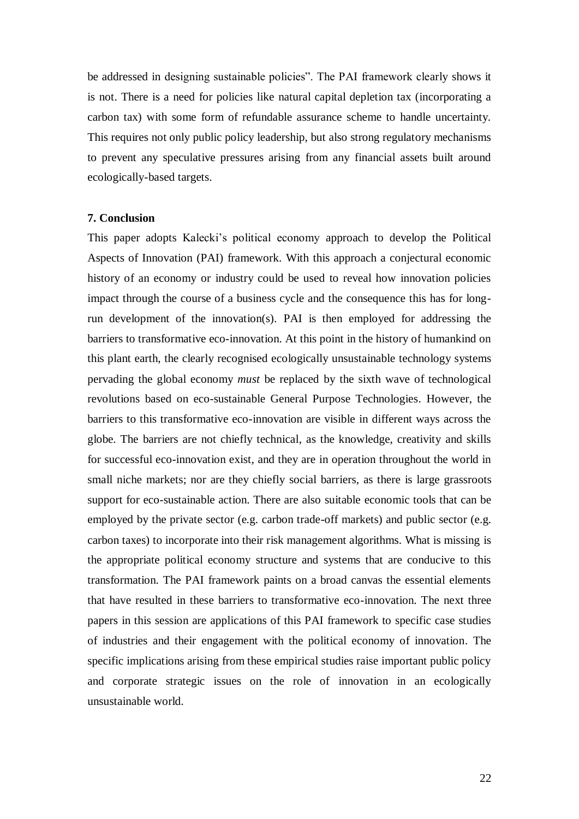be addressed in designing sustainable policies". The PAI framework clearly shows it is not. There is a need for policies like natural capital depletion tax (incorporating a carbon tax) with some form of refundable assurance scheme to handle uncertainty. This requires not only public policy leadership, but also strong regulatory mechanisms to prevent any speculative pressures arising from any financial assets built around ecologically-based targets.

#### **7. Conclusion**

This paper adopts Kalecki"s political economy approach to develop the Political Aspects of Innovation (PAI) framework. With this approach a conjectural economic history of an economy or industry could be used to reveal how innovation policies impact through the course of a business cycle and the consequence this has for longrun development of the innovation(s). PAI is then employed for addressing the barriers to transformative eco-innovation. At this point in the history of humankind on this plant earth, the clearly recognised ecologically unsustainable technology systems pervading the global economy *must* be replaced by the sixth wave of technological revolutions based on eco-sustainable General Purpose Technologies. However, the barriers to this transformative eco-innovation are visible in different ways across the globe. The barriers are not chiefly technical, as the knowledge, creativity and skills for successful eco-innovation exist, and they are in operation throughout the world in small niche markets; nor are they chiefly social barriers, as there is large grassroots support for eco-sustainable action. There are also suitable economic tools that can be employed by the private sector (e.g. carbon trade-off markets) and public sector (e.g. carbon taxes) to incorporate into their risk management algorithms. What is missing is the appropriate political economy structure and systems that are conducive to this transformation. The PAI framework paints on a broad canvas the essential elements that have resulted in these barriers to transformative eco-innovation. The next three papers in this session are applications of this PAI framework to specific case studies of industries and their engagement with the political economy of innovation. The specific implications arising from these empirical studies raise important public policy and corporate strategic issues on the role of innovation in an ecologically unsustainable world.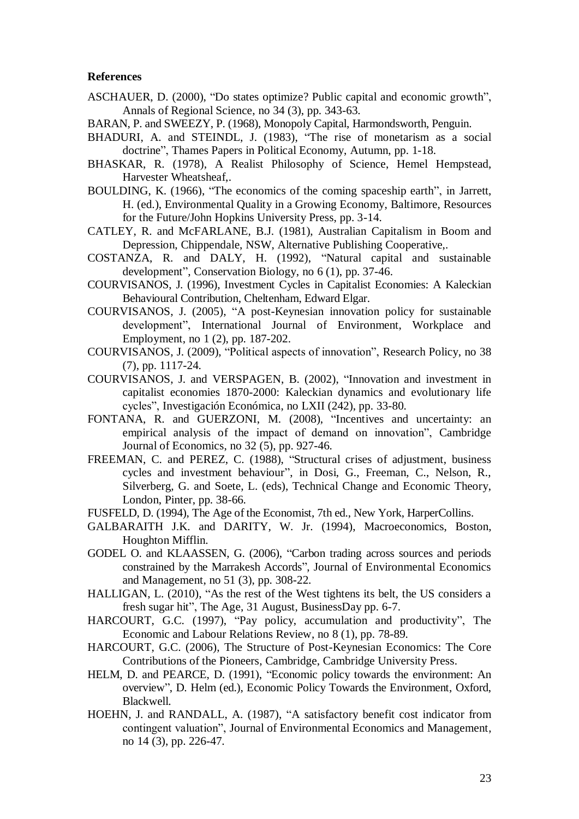## **References**

- ASCHAUER, D. (2000), "Do states optimize? Public capital and economic growth", Annals of Regional Science, no 34 (3), pp. 343-63.
- BARAN, P. and SWEEZY, P. (1968), Monopoly Capital, Harmondsworth, Penguin.
- BHADURI, A. and STEINDL, J. (1983), "The rise of monetarism as a social doctrine", Thames Papers in Political Economy, Autumn, pp. 1-18.
- BHASKAR, R. (1978), A Realist Philosophy of Science, Hemel Hempstead, Harvester Wheatsheaf,.
- BOULDING, K. (1966), "The economics of the coming spaceship earth", in Jarrett, H. (ed.), Environmental Quality in a Growing Economy, Baltimore, Resources for the Future/John Hopkins University Press, pp. 3-14.
- CATLEY, R. and McFARLANE, B.J. (1981), Australian Capitalism in Boom and Depression, Chippendale, NSW, Alternative Publishing Cooperative,.
- COSTANZA, R. and DALY, H. (1992), "Natural capital and sustainable development", Conservation Biology, no 6 (1), pp. 37-46.
- COURVISANOS, J. (1996), Investment Cycles in Capitalist Economies: A Kaleckian Behavioural Contribution, Cheltenham, Edward Elgar.
- COURVISANOS, J. (2005), "A post-Keynesian innovation policy for sustainable development", International Journal of Environment, Workplace and Employment, no 1 (2), pp. 187-202.
- COURVISANOS, J. (2009), "Political aspects of innovation", Research Policy, no 38 (7), pp. 1117-24.
- COURVISANOS, J. and VERSPAGEN, B. (2002), "Innovation and investment in capitalist economies 1870-2000: Kaleckian dynamics and evolutionary life cycles", Investigación Económica, no LXII (242), pp. 33-80.
- FONTANA, R. and GUERZONI, M. (2008), "Incentives and uncertainty: an empirical analysis of the impact of demand on innovation", Cambridge Journal of Economics, no 32 (5), pp. 927-46.
- FREEMAN, C. and PEREZ, C. (1988), "Structural crises of adjustment, business cycles and investment behaviour", in Dosi, G., Freeman, C., Nelson, R., Silverberg, G. and Soete, L. (eds), Technical Change and Economic Theory, London, Pinter, pp. 38-66.
- FUSFELD, D. (1994), The Age of the Economist, 7th ed., New York, HarperCollins.
- GALBARAITH J.K. and DARITY, W. Jr. (1994), Macroeconomics, Boston, Houghton Mifflin.
- GODEL O. and KLAASSEN, G. (2006), "Carbon trading across sources and periods constrained by the Marrakesh Accords", Journal of Environmental Economics and Management, no 51 (3), pp. 308-22.
- HALLIGAN, L. (2010), "As the rest of the West tightens its belt, the US considers a fresh sugar hit", The Age, 31 August, BusinessDay pp. 6-7.
- HARCOURT, G.C. (1997), "Pay policy, accumulation and productivity", The Economic and Labour Relations Review, no 8 (1), pp. 78-89.
- HARCOURT, G.C. (2006), The Structure of Post-Keynesian Economics: The Core Contributions of the Pioneers, Cambridge, Cambridge University Press.
- HELM, D. and PEARCE, D. (1991), "Economic policy towards the environment: An overview", D. Helm (ed.), Economic Policy Towards the Environment, Oxford, Blackwell.
- HOEHN, J. and RANDALL, A. (1987), "A satisfactory benefit cost indicator from contingent valuation", Journal of Environmental Economics and Management, no 14 (3), pp. 226-47.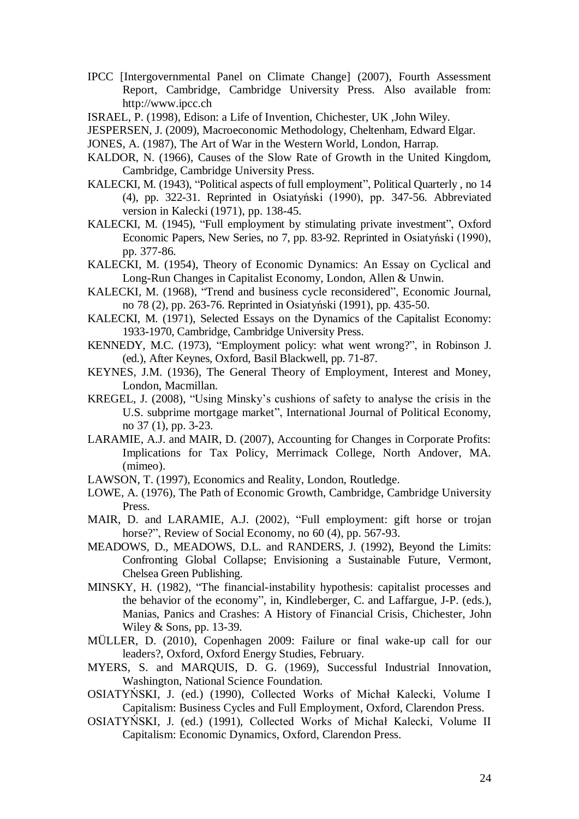- IPCC [Intergovernmental Panel on Climate Change] (2007), Fourth Assessment Report, Cambridge, Cambridge University Press. Also available from: http://www.ipcc.ch
- ISRAEL, P. (1998), Edison: a Life of Invention, Chichester, UK ,John Wiley.
- JESPERSEN, J. (2009), Macroeconomic Methodology, Cheltenham, Edward Elgar.
- JONES, A. (1987), The Art of War in the Western World, London, Harrap.
- KALDOR, N. (1966), Causes of the Slow Rate of Growth in the United Kingdom, Cambridge, Cambridge University Press.
- KALECKI, M. (1943), "Political aspects of full employment", Political Quarterly , no 14 (4), pp. 322-31. Reprinted in Osiatyński (1990), pp. 347-56. Abbreviated version in Kalecki (1971), pp. 138-45.
- KALECKI, M. (1945), "Full employment by stimulating private investment", Oxford Economic Papers, New Series, no 7, pp. 83-92. Reprinted in Osiatyński (1990), pp. 377-86.
- KALECKI, M. (1954), Theory of Economic Dynamics: An Essay on Cyclical and Long-Run Changes in Capitalist Economy, London, Allen & Unwin.
- KALECKI, M. (1968), "Trend and business cycle reconsidered", Economic Journal, no 78 (2), pp. 263-76. Reprinted in Osiatyński (1991), pp. 435-50.
- KALECKI, M. (1971), Selected Essays on the Dynamics of the Capitalist Economy: 1933-1970, Cambridge, Cambridge University Press.
- KENNEDY, M.C. (1973), "Employment policy: what went wrong?", in Robinson J. (ed.), After Keynes, Oxford, Basil Blackwell, pp. 71-87.
- KEYNES, J.M. (1936), The General Theory of Employment, Interest and Money, London, Macmillan.
- KREGEL, J. (2008), "Using Minsky"s cushions of safety to analyse the crisis in the U.S. subprime mortgage market", International Journal of Political Economy, no 37 (1), pp. 3-23.
- LARAMIE, A.J. and MAIR, D. (2007), Accounting for Changes in Corporate Profits: Implications for Tax Policy, Merrimack College, North Andover, MA. (mimeo).
- LAWSON, T. (1997), Economics and Reality, London, Routledge.
- LOWE, A. (1976), The Path of Economic Growth, Cambridge, Cambridge University Press.
- MAIR, D. and LARAMIE, A.J. (2002), "Full employment: gift horse or trojan horse?", Review of Social Economy, no 60 (4), pp. 567-93.
- MEADOWS, D., MEADOWS, D.L. and RANDERS, J. (1992), Beyond the Limits: Confronting Global Collapse; Envisioning a Sustainable Future, Vermont, Chelsea Green Publishing.
- MINSKY, H. (1982), "The financial-instability hypothesis: capitalist processes and the behavior of the economy", in, Kindleberger, C. and Laffargue, J-P. (eds.), Manias, Panics and Crashes: A History of Financial Crisis, Chichester, John Wiley & Sons, pp. 13-39.
- MÜLLER, D. (2010), Copenhagen 2009: Failure or final wake-up call for our leaders?, Oxford, Oxford Energy Studies, February.
- MYERS, S. and MARQUIS, D. G. (1969), Successful Industrial Innovation, Washington, National Science Foundation.
- OSIATYŃSKI, J. (ed.) (1990), Collected Works of Michał Kalecki, Volume I Capitalism: Business Cycles and Full Employment, Oxford, Clarendon Press.
- OSIATYŃSKI, J. (ed.) (1991), Collected Works of Michał Kalecki, Volume II Capitalism: Economic Dynamics, Oxford, Clarendon Press.